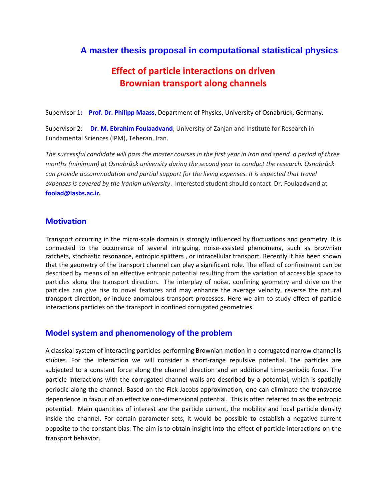## **A master thesis proposal in computational statistical physics**

# **Effect of particle interactions on driven Brownian transport along channels**

Supervisor **: Prof. Dr. Philipp Maass**, Department of Physics, University of Osnabrück, Germany.

Supervisor 2: **Dr. M. Ebrahim Foulaadvand**, University of Zanjan and Institute for Research in Fundamental Sciences (IPM), Teheran, Iran.

*The successful candidate will pass the master courses in the first year in Iran and spend a period of three months (minimum) at Osnabrück university during the second year to conduct the research. Osnabrück can provide accommodation and partial support for the living expenses. It is expected that travel expenses is covered by the Iranian university*. Interested student should contact Dr. Foulaadvand at **foolad@iasbs.ac.ir.**

#### **Motivation**

Transport occurring in the micro-scale domain is strongly influenced by fluctuations and geometry. It is connected to the occurrence of several intriguing, noise-assisted phenomena, such as Brownian ratchets, stochastic resonance, entropic splitters , or intracellular transport. Recently it has been shown that the geometry of the transport channel can play a significant role. The effect of confinement can be described by means of an effective entropic potential resulting from the variation of accessible space to particles along the transport direction. The interplay of noise, confining geometry and drive on the particles can give rise to novel features and may enhance the average velocity, reverse the natural transport direction, or induce anomalous transport processes. Here we aim to study effect of particle interactions particles on the transport in confined corrugated geometries.

#### **Model system and phenomenology of the problem**

A classical system of interacting particles performing Brownian motion in a corrugated narrow channel is studies. For the interaction we will consider a short-range repulsive potential. The particles are subjected to a constant force along the channel direction and an additional time-periodic force. The particle interactions with the corrugated channel walls are described by a potential, which is spatially periodic along the channel. Based on the Fick-Jacobs approximation, one can eliminate the transverse dependence in favour of an effective one-dimensional potential. This is often referred to as the entropic potential. Main quantities of interest are the particle current, the mobility and local particle density inside the channel. For certain parameter sets, it would be possible to establish a negative current opposite to the constant bias. The aim is to obtain insight into the effect of particle interactions on the transport behavior.